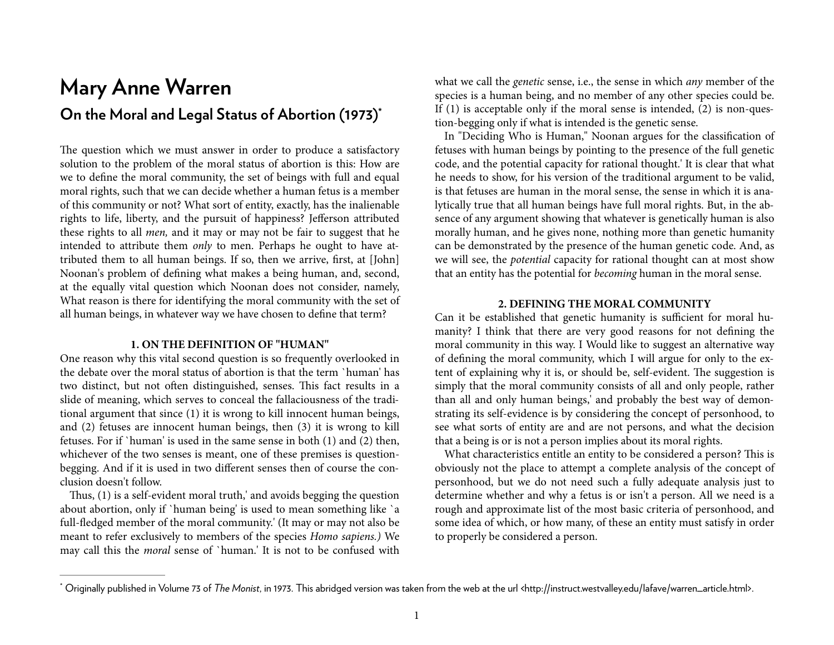# **Mary Anne Warren On the Moral and Legal Status of Abortion (1973[\)\\*](#page-0-0)**

The question which we must answer in order to produce a satisfactory solution to the problem of the moral status of abortion is this: How are we to define the moral community, the set of beings with full and equal moral rights, such that we can decide whether a human fetus is a member of this community or not? What sort of entity, exactly, has the inalienable rights to life, liberty, and the pursuit of happiness? Jefferson attributed these rights to all *men,* and it may or may not be fair to suggest that he intended to attribute them *only* to men. Perhaps he ought to have attributed them to all human beings. If so, then we arrive, first, at [John] Noonan's problem of defining what makes a being human, and, second, at the equally vital question which Noonan does not consider, namely, What reason is there for identifying the moral community with the set of all human beings, in whatever way we have chosen to define that term?

## **1. ON THE DEFINITION OF "HUMAN"**

One reason why this vital second question is so frequently overlooked in the debate over the moral status of abortion is that the term `human' has two distinct, but not often distinguished, senses. This fact results in a slide of meaning, which serves to conceal the fallaciousness of the traditional argument that since (1) it is wrong to kill innocent human beings, and (2) fetuses are innocent human beings, then (3) it is wrong to kill fetuses. For if `human' is used in the same sense in both (1) and (2) then, whichever of the two senses is meant, one of these premises is questionbegging. And if it is used in two different senses then of course the conclusion doesn't follow.

Thus, (1) is a self-evident moral truth,' and avoids begging the question about abortion, only if `human being' is used to mean something like `a full-fledged member of the moral community.' (It may or may not also be meant to refer exclusively to members of the species *Homo sapiens.)* We may call this the *moral* sense of `human.' It is not to be confused with what we call the *genetic* sense, i.e., the sense in which *any* member of the species is a human being, and no member of any other species could be. If (1) is acceptable only if the moral sense is intended, (2) is non-question-begging only if what is intended is the genetic sense.

<span id="page-0-1"></span>In "Deciding Who is Human," Noonan argues for the classification of fetuses with human beings by pointing to the presence of the full genetic code, and the potential capacity for rational thought.' It is clear that what he needs to show, for his version of the traditional argument to be valid, is that fetuses are human in the moral sense, the sense in which it is analytically true that all human beings have full moral rights. But, in the absence of any argument showing that whatever is genetically human is also morally human, and he gives none, nothing more than genetic humanity can be demonstrated by the presence of the human genetic code. And, as we will see, the *potential* capacity for rational thought can at most show that an entity has the potential for *becoming* human in the moral sense.

#### **2. DEFINING THE MORAL COMMUNITY**

Can it be established that genetic humanity is sufficient for moral humanity? I think that there are very good reasons for not defining the moral community in this way. I Would like to suggest an alternative way of defining the moral community, which I will argue for only to the extent of explaining why it is, or should be, self-evident. The suggestion is simply that the moral community consists of all and only people, rather than all and only human beings,' and probably the best way of demonstrating its self-evidence is by considering the concept of personhood, to see what sorts of entity are and are not persons, and what the decision that a being is or is not a person implies about its moral rights.

What characteristics entitle an entity to be considered a person? This is obviously not the place to attempt a complete analysis of the concept of personhood, but we do not need such a fully adequate analysis just to determine whether and why a fetus is or isn't a person. All we need is a rough and approximate list of the most basic criteria of personhood, and some idea of which, or how many, of these an entity must satisfy in order to properly be considered a person.

<span id="page-0-0"></span>Originally published in Volume 73 of *The Monist*, in 1973. This abridged version was taken from the web at the url <http://instruct.westvalley.edu/lafave/warren\_article.html>. [\\*](#page-0-1)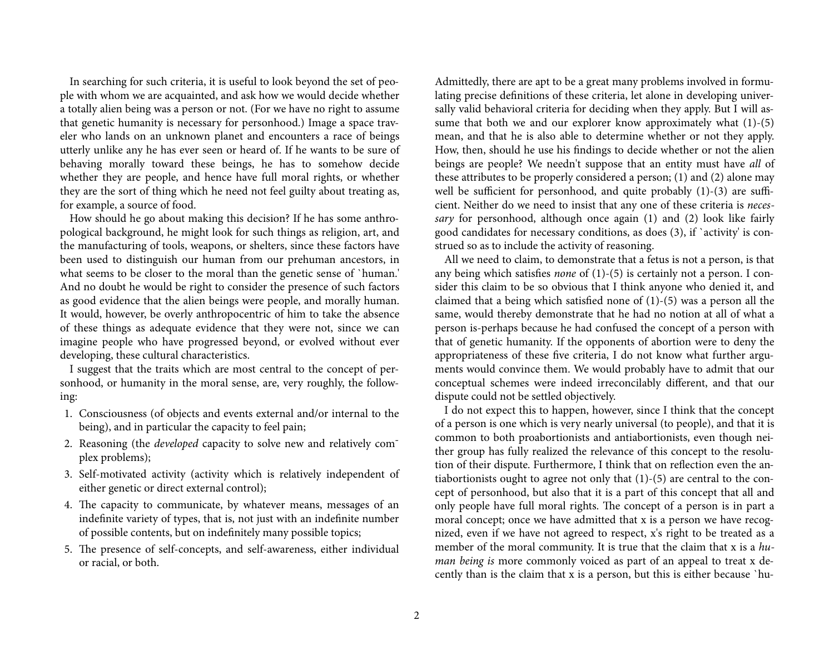In searching for such criteria, it is useful to look beyond the set of people with whom we are acquainted, and ask how we would decide whether a totally alien being was a person or not. (For we have no right to assume that genetic humanity is necessary for personhood.) Image a space traveler who lands on an unknown planet and encounters a race of beings utterly unlike any he has ever seen or heard of. If he wants to be sure of behaving morally toward these beings, he has to somehow decide whether they are people, and hence have full moral rights, or whether they are the sort of thing which he need not feel guilty about treating as, for example, a source of food.

How should he go about making this decision? If he has some anthropological background, he might look for such things as religion, art, and the manufacturing of tools, weapons, or shelters, since these factors have been used to distinguish our human from our prehuman ancestors, in what seems to be closer to the moral than the genetic sense of `human.' And no doubt he would be right to consider the presence of such factors as good evidence that the alien beings were people, and morally human. It would, however, be overly anthropocentric of him to take the absence of these things as adequate evidence that they were not, since we can imagine people who have progressed beyond, or evolved without ever developing, these cultural characteristics.

I suggest that the traits which are most central to the concept of personhood, or humanity in the moral sense, are, very roughly, the following:

- 1. Consciousness (of objects and events external and/or internal to the being), and in particular the capacity to feel pain;
- 2. Reasoning (the *developed* capacity to solve new and relatively complex problems);
- 3. Self-motivated activity (activity which is relatively independent of either genetic or direct external control);
- 4. The capacity to communicate, by whatever means, messages of an indefinite variety of types, that is, not just with an indefinite number of possible contents, but on indefinitely many possible topics;
- 5. The presence of self-concepts, and self-awareness, either individual or racial, or both.

Admittedly, there are apt to be a great many problems involved in formulating precise definitions of these criteria, let alone in developing universally valid behavioral criteria for deciding when they apply. But I will assume that both we and our explorer know approximately what (1)-(5) mean, and that he is also able to determine whether or not they apply. How, then, should he use his findings to decide whether or not the alien beings are people? We needn't suppose that an entity must have *all* of these attributes to be properly considered a person; (1) and (2) alone may well be sufficient for personhood, and quite probably (1)-(3) are sufficient. Neither do we need to insist that any one of these criteria is *necessary* for personhood, although once again (1) and (2) look like fairly good candidates for necessary conditions, as does (3), if `activity' is construed so as to include the activity of reasoning.

All we need to claim, to demonstrate that a fetus is not a person, is that any being which satisfies *none* of (1)-(5) is certainly not a person. I consider this claim to be so obvious that I think anyone who denied it, and claimed that a being which satisfied none of (1)-(5) was a person all the same, would thereby demonstrate that he had no notion at all of what a person is-perhaps because he had confused the concept of a person with that of genetic humanity. If the opponents of abortion were to deny the appropriateness of these five criteria, I do not know what further arguments would convince them. We would probably have to admit that our conceptual schemes were indeed irreconcilably different, and that our dispute could not be settled objectively.

I do not expect this to happen, however, since I think that the concept of a person is one which is very nearly universal (to people), and that it is common to both proabortionists and antiabortionists, even though neither group has fully realized the relevance of this concept to the resolution of their dispute. Furthermore, I think that on reflection even the antiabortionists ought to agree not only that (1)-(5) are central to the concept of personhood, but also that it is a part of this concept that all and only people have full moral rights. The concept of a person is in part a moral concept; once we have admitted that x is a person we have recognized, even if we have not agreed to respect, x's right to be treated as a member of the moral community. It is true that the claim that x is a *human being is* more commonly voiced as part of an appeal to treat x decently than is the claim that x is a person, but this is either because `hu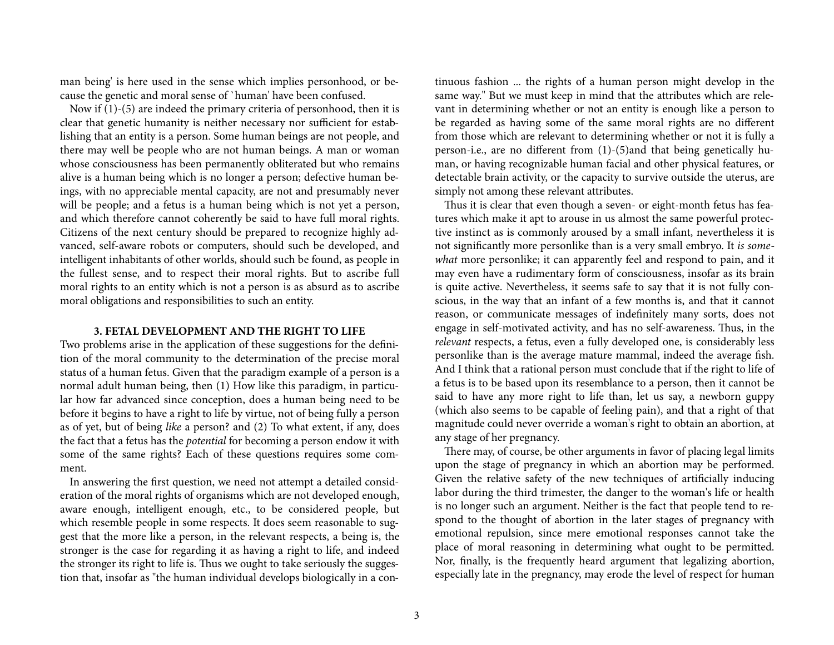man being' is here used in the sense which implies personhood, or because the genetic and moral sense of `human' have been confused.

Now if (1)-(5) are indeed the primary criteria of personhood, then it is clear that genetic humanity is neither necessary nor sufficient for establishing that an entity is a person. Some human beings are not people, and there may well be people who are not human beings. A man or woman whose consciousness has been permanently obliterated but who remains alive is a human being which is no longer a person; defective human beings, with no appreciable mental capacity, are not and presumably never will be people; and a fetus is a human being which is not yet a person, and which therefore cannot coherently be said to have full moral rights. Citizens of the next century should be prepared to recognize highly advanced, self-aware robots or computers, should such be developed, and intelligent inhabitants of other worlds, should such be found, as people in the fullest sense, and to respect their moral rights. But to ascribe full moral rights to an entity which is not a person is as absurd as to ascribe moral obligations and responsibilities to such an entity.

## **3. FETAL DEVELOPMENT AND THE RIGHT TO LIFE**

Two problems arise in the application of these suggestions for the definition of the moral community to the determination of the precise moral status of a human fetus. Given that the paradigm example of a person is a normal adult human being, then (1) How like this paradigm, in particular how far advanced since conception, does a human being need to be before it begins to have a right to life by virtue, not of being fully a person as of yet, but of being *like* a person? and (2) To what extent, if any, does the fact that a fetus has the *potential* for becoming a person endow it with some of the same rights? Each of these questions requires some comment.

In answering the first question, we need not attempt a detailed consideration of the moral rights of organisms which are not developed enough, aware enough, intelligent enough, etc., to be considered people, but which resemble people in some respects. It does seem reasonable to suggest that the more like a person, in the relevant respects, a being is, the stronger is the case for regarding it as having a right to life, and indeed the stronger its right to life is. Thus we ought to take seriously the suggestion that, insofar as "the human individual develops biologically in a con-

tinuous fashion ... the rights of a human person might develop in the same way." But we must keep in mind that the attributes which are relevant in determining whether or not an entity is enough like a person to be regarded as having some of the same moral rights are no different from those which are relevant to determining whether or not it is fully a person-i.e., are no different from (1)-(5)and that being genetically human, or having recognizable human facial and other physical features, or detectable brain activity, or the capacity to survive outside the uterus, are simply not among these relevant attributes.

Thus it is clear that even though a seven- or eight-month fetus has features which make it apt to arouse in us almost the same powerful protective instinct as is commonly aroused by a small infant, nevertheless it is not significantly more personlike than is a very small embryo. It *is somewhat* more personlike; it can apparently feel and respond to pain, and it may even have a rudimentary form of consciousness, insofar as its brain is quite active. Nevertheless, it seems safe to say that it is not fully conscious, in the way that an infant of a few months is, and that it cannot reason, or communicate messages of indefinitely many sorts, does not engage in self-motivated activity, and has no self-awareness. Tus, in the *relevant* respects, a fetus, even a fully developed one, is considerably less personlike than is the average mature mammal, indeed the average fish. And I think that a rational person must conclude that if the right to life of a fetus is to be based upon its resemblance to a person, then it cannot be said to have any more right to life than, let us say, a newborn guppy (which also seems to be capable of feeling pain), and that a right of that magnitude could never override a woman's right to obtain an abortion, at any stage of her pregnancy.

There may, of course, be other arguments in favor of placing legal limits upon the stage of pregnancy in which an abortion may be performed. Given the relative safety of the new techniques of artificially inducing labor during the third trimester, the danger to the woman's life or health is no longer such an argument. Neither is the fact that people tend to respond to the thought of abortion in the later stages of pregnancy with emotional repulsion, since mere emotional responses cannot take the place of moral reasoning in determining what ought to be permitted. Nor, finally, is the frequently heard argument that legalizing abortion, especially late in the pregnancy, may erode the level of respect for human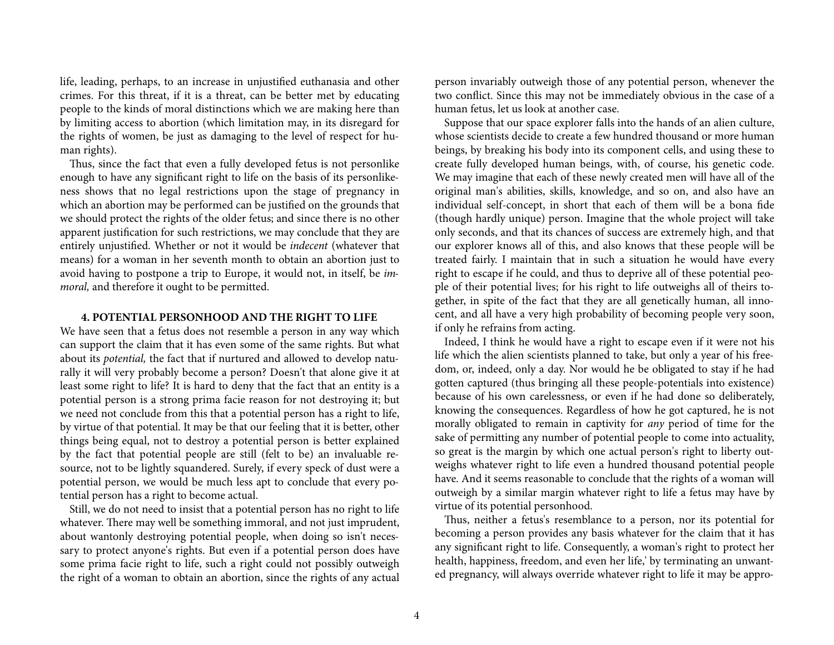life, leading, perhaps, to an increase in unjustified euthanasia and other crimes. For this threat, if it is a threat, can be better met by educating people to the kinds of moral distinctions which we are making here than by limiting access to abortion (which limitation may, in its disregard for the rights of women, be just as damaging to the level of respect for human rights).

Thus, since the fact that even a fully developed fetus is not personlike enough to have any significant right to life on the basis of its personlikeness shows that no legal restrictions upon the stage of pregnancy in which an abortion may be performed can be justified on the grounds that we should protect the rights of the older fetus; and since there is no other apparent justification for such restrictions, we may conclude that they are entirely unjustified. Whether or not it would be *indecent* (whatever that means) for a woman in her seventh month to obtain an abortion just to avoid having to postpone a trip to Europe, it would not, in itself, be *immoral*, and therefore it ought to be permitted.

#### **4. POTENTIAL PERSONHOOD AND THE RIGHT TO LIFE**

We have seen that a fetus does not resemble a person in any way which can support the claim that it has even some of the same rights. But what about its *potential,* the fact that if nurtured and allowed to develop naturally it will very probably become a person? Doesn't that alone give it at least some right to life? It is hard to deny that the fact that an entity is a potential person is a strong prima facie reason for not destroying it; but we need not conclude from this that a potential person has a right to life, by virtue of that potential. It may be that our feeling that it is better, other things being equal, not to destroy a potential person is better explained by the fact that potential people are still (felt to be) an invaluable resource, not to be lightly squandered. Surely, if every speck of dust were a potential person, we would be much less apt to conclude that every potential person has a right to become actual.

Still, we do not need to insist that a potential person has no right to life whatever. There may well be something immoral, and not just imprudent, about wantonly destroying potential people, when doing so isn't necessary to protect anyone's rights. But even if a potential person does have some prima facie right to life, such a right could not possibly outweigh the right of a woman to obtain an abortion, since the rights of any actual

person invariably outweigh those of any potential person, whenever the two conflict. Since this may not be immediately obvious in the case of a human fetus, let us look at another case.

Suppose that our space explorer falls into the hands of an alien culture, whose scientists decide to create a few hundred thousand or more human beings, by breaking his body into its component cells, and using these to create fully developed human beings, with, of course, his genetic code. We may imagine that each of these newly created men will have all of the original man's abilities, skills, knowledge, and so on, and also have an individual self-concept, in short that each of them will be a bona fide (though hardly unique) person. Imagine that the whole project will take only seconds, and that its chances of success are extremely high, and that our explorer knows all of this, and also knows that these people will be treated fairly. I maintain that in such a situation he would have every right to escape if he could, and thus to deprive all of these potential people of their potential lives; for his right to life outweighs all of theirs together, in spite of the fact that they are all genetically human, all innocent, and all have a very high probability of becoming people very soon, if only he refrains from acting.

Indeed, I think he would have a right to escape even if it were not his life which the alien scientists planned to take, but only a year of his freedom, or, indeed, only a day. Nor would he be obligated to stay if he had gotten captured (thus bringing all these people-potentials into existence) because of his own carelessness, or even if he had done so deliberately, knowing the consequences. Regardless of how he got captured, he is not morally obligated to remain in captivity for *any* period of time for the sake of permitting any number of potential people to come into actuality, so great is the margin by which one actual person's right to liberty outweighs whatever right to life even a hundred thousand potential people have. And it seems reasonable to conclude that the rights of a woman will outweigh by a similar margin whatever right to life a fetus may have by virtue of its potential personhood.

Thus, neither a fetus's resemblance to a person, nor its potential for becoming a person provides any basis whatever for the claim that it has any significant right to life. Consequently, a woman's right to protect her health, happiness, freedom, and even her life,' by terminating an unwanted pregnancy, will always override whatever right to life it may be appro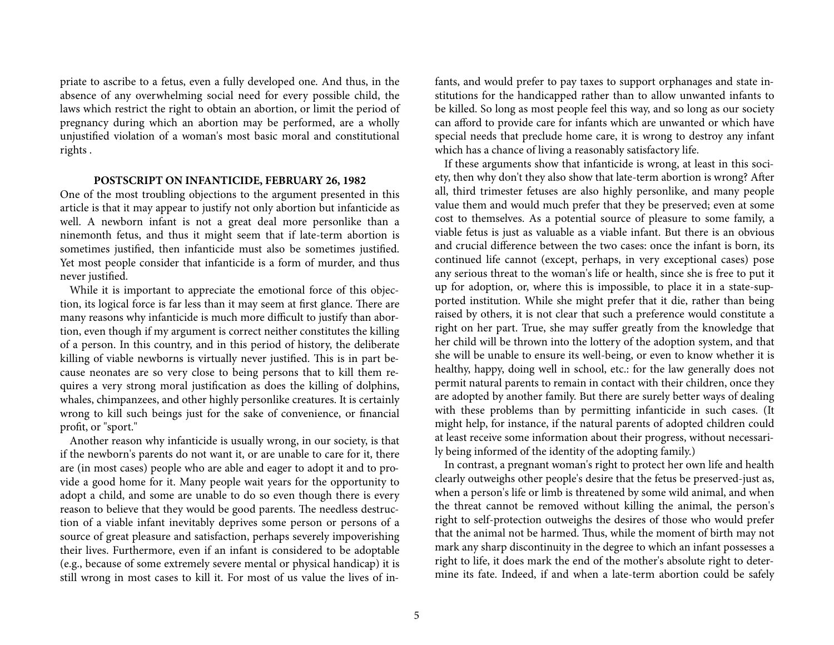priate to ascribe to a fetus, even a fully developed one. And thus, in the absence of any overwhelming social need for every possible child, the laws which restrict the right to obtain an abortion, or limit the period of pregnancy during which an abortion may be performed, are a wholly unjustified violation of a woman's most basic moral and constitutional rights .

## **POSTSCRIPT ON INFANTICIDE, FEBRUARY 26, 1982**

One of the most troubling objections to the argument presented in this article is that it may appear to justify not only abortion but infanticide as well. A newborn infant is not a great deal more personlike than a ninemonth fetus, and thus it might seem that if late-term abortion is sometimes justified, then infanticide must also be sometimes justified. Yet most people consider that infanticide is a form of murder, and thus never justified.

While it is important to appreciate the emotional force of this objection, its logical force is far less than it may seem at first glance. There are many reasons why infanticide is much more difficult to justify than abortion, even though if my argument is correct neither constitutes the killing of a person. In this country, and in this period of history, the deliberate killing of viable newborns is virtually never justified. This is in part because neonates are so very close to being persons that to kill them requires a very strong moral justification as does the killing of dolphins, whales, chimpanzees, and other highly personlike creatures. It is certainly wrong to kill such beings just for the sake of convenience, or financial profit, or "sport."

Another reason why infanticide is usually wrong, in our society, is that if the newborn's parents do not want it, or are unable to care for it, there are (in most cases) people who are able and eager to adopt it and to provide a good home for it. Many people wait years for the opportunity to adopt a child, and some are unable to do so even though there is every reason to believe that they would be good parents. The needless destruction of a viable infant inevitably deprives some person or persons of a source of great pleasure and satisfaction, perhaps severely impoverishing their lives. Furthermore, even if an infant is considered to be adoptable (e.g., because of some extremely severe mental or physical handicap) it is still wrong in most cases to kill it. For most of us value the lives of infants, and would prefer to pay taxes to support orphanages and state institutions for the handicapped rather than to allow unwanted infants to be killed. So long as most people feel this way, and so long as our society can afford to provide care for infants which are unwanted or which have special needs that preclude home care, it is wrong to destroy any infant which has a chance of living a reasonably satisfactory life.

If these arguments show that infanticide is wrong, at least in this society, then why don't they also show that late-term abortion is wrong? Afer all, third trimester fetuses are also highly personlike, and many people value them and would much prefer that they be preserved; even at some cost to themselves. As a potential source of pleasure to some family, a viable fetus is just as valuable as a viable infant. But there is an obvious and crucial difference between the two cases: once the infant is born, its continued life cannot (except, perhaps, in very exceptional cases) pose any serious threat to the woman's life or health, since she is free to put it up for adoption, or, where this is impossible, to place it in a state-supported institution. While she might prefer that it die, rather than being raised by others, it is not clear that such a preference would constitute a right on her part. True, she may suffer greatly from the knowledge that her child will be thrown into the lottery of the adoption system, and that she will be unable to ensure its well-being, or even to know whether it is healthy, happy, doing well in school, etc.: for the law generally does not permit natural parents to remain in contact with their children, once they are adopted by another family. But there are surely better ways of dealing with these problems than by permitting infanticide in such cases. (It might help, for instance, if the natural parents of adopted children could at least receive some information about their progress, without necessarily being informed of the identity of the adopting family.)

In contrast, a pregnant woman's right to protect her own life and health clearly outweighs other people's desire that the fetus be preserved-just as, when a person's life or limb is threatened by some wild animal, and when the threat cannot be removed without killing the animal, the person's right to self-protection outweighs the desires of those who would prefer that the animal not be harmed. Thus, while the moment of birth may not mark any sharp discontinuity in the degree to which an infant possesses a right to life, it does mark the end of the mother's absolute right to determine its fate. Indeed, if and when a late-term abortion could be safely